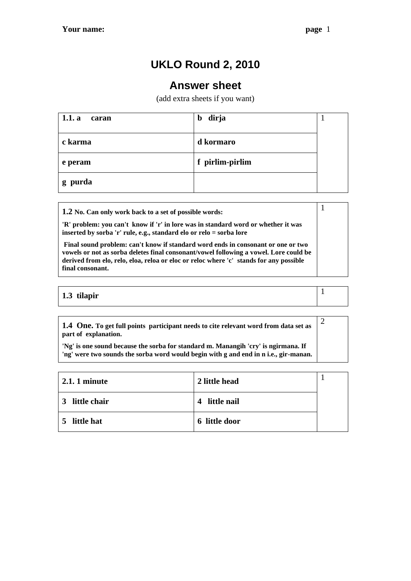1

2

## **UKLO Round 2, 2010**

## **Answer sheet**

(add extra sheets if you want)

| 1.1. a<br>caran | dirja<br>$\mathbf b$ |  |
|-----------------|----------------------|--|
| c karma         | d kormaro            |  |
| e peram         | f pirlim-pirlim      |  |
| g purda         |                      |  |

**1.2 No. Can only work back to a set of possible words: 'R' problem: you can't know if 'r' in lore was in standard word or whether it was inserted by sorba 'r' rule, e.g., standard elo or relo = sorba lore** 

**Final sound problem: can't know if standard word ends in consonant or one or two vowels or not as sorba deletes final consonant/vowel following a vowel. Lore could be derived from elo, relo, eloa, reloa or eloc or reloc where 'c' stands for any possible final consonant.** 

## **1.3 tilapir** <sup>1</sup>

**1.4 One. To get full points participant needs to cite relevant word from data set as part of explanation.** 

**'Ng' is one sound because the sorba for standard m. Manangih 'cry' is ngirmana. If 'ng' were two sounds the sorba word would begin with g and end in n i.e., gir-manan.**

| <b>2.1.1 minute</b> | 2 little head                   |  |
|---------------------|---------------------------------|--|
| little chair<br>3   | little nail<br>$\boldsymbol{4}$ |  |
| little hat<br>5     | 6 little door                   |  |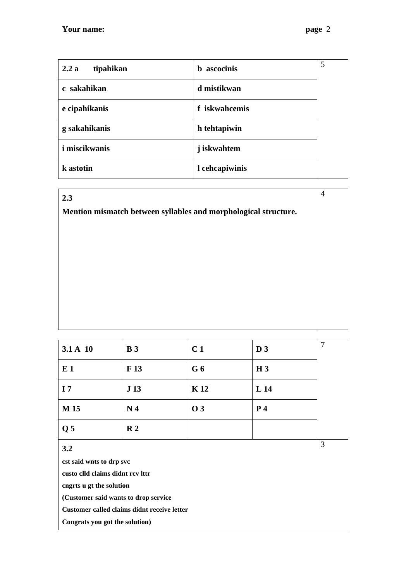4

| 2.2a<br>tipahikan    | ascocinis<br>b. | 5 |
|----------------------|-----------------|---|
| c sakahikan          | d mistikwan     |   |
| e cipahikanis        | f iskwahcemis   |   |
| g sakahikanis        | h tehtapiwin    |   |
| <i>i</i> miscikwanis | j iskwahtem     |   |
| k astotin            | l cehcapiwinis  |   |

## **2.3**

**Mention mismatch between syllables and morphological structure.**

| 3.1 A 10                                                                                                                                                                                                                 | $\bf{B}$ 3      | C <sub>1</sub> | D <sub>3</sub>  | $\overline{7}$ |
|--------------------------------------------------------------------------------------------------------------------------------------------------------------------------------------------------------------------------|-----------------|----------------|-----------------|----------------|
| E1                                                                                                                                                                                                                       | F 13            | G6             | H <sub>3</sub>  |                |
| I <sub>7</sub>                                                                                                                                                                                                           | J <sub>13</sub> | <b>K12</b>     | L <sub>14</sub> |                |
| M 15                                                                                                                                                                                                                     | N <sub>4</sub>  | 03             | P <sub>4</sub>  |                |
| Q <sub>5</sub>                                                                                                                                                                                                           | $\mathbf{R}2$   |                |                 |                |
| 3.2<br>cst said wnts to drp svc<br>custo clld claims didnt rcv lttr<br>engrts u gt the solution<br>(Customer said wants to drop service<br>Customer called claims didnt receive letter<br>Congrats you got the solution) |                 |                | 3               |                |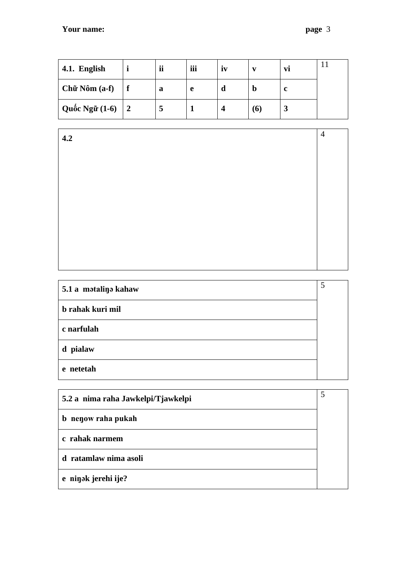| 4.1. English     |           | ii | iii | 1V |                   | Vl |  |
|------------------|-----------|----|-----|----|-------------------|----|--|
| Chữ Nôm (a-f)    |           | a  | e   | a  | D                 |    |  |
| Quốc Ngữ $(1-6)$ | $\vert 2$ |    |     |    | $\left( 6\right)$ | نم |  |

| 4.2                | $\overline{4}$ |
|--------------------|----------------|
|                    |                |
|                    |                |
|                    |                |
|                    |                |
|                    |                |
|                    |                |
|                    |                |
|                    |                |
|                    |                |
| 519 matelina kahaw | $\overline{5}$ |

| 5.1 a mətaliyə kahaw |  |
|----------------------|--|
| b rahak kuri mil     |  |
| c narfulah           |  |
| d pialaw             |  |
| e netetah            |  |

| 5.2 a nima raha Jawkelpi/Tjawkelpi |  |
|------------------------------------|--|
| b nenow raha pukah                 |  |
| c rahak narmem                     |  |
| d ratamlaw nima asoli              |  |
| e ninak jerehi ije?                |  |